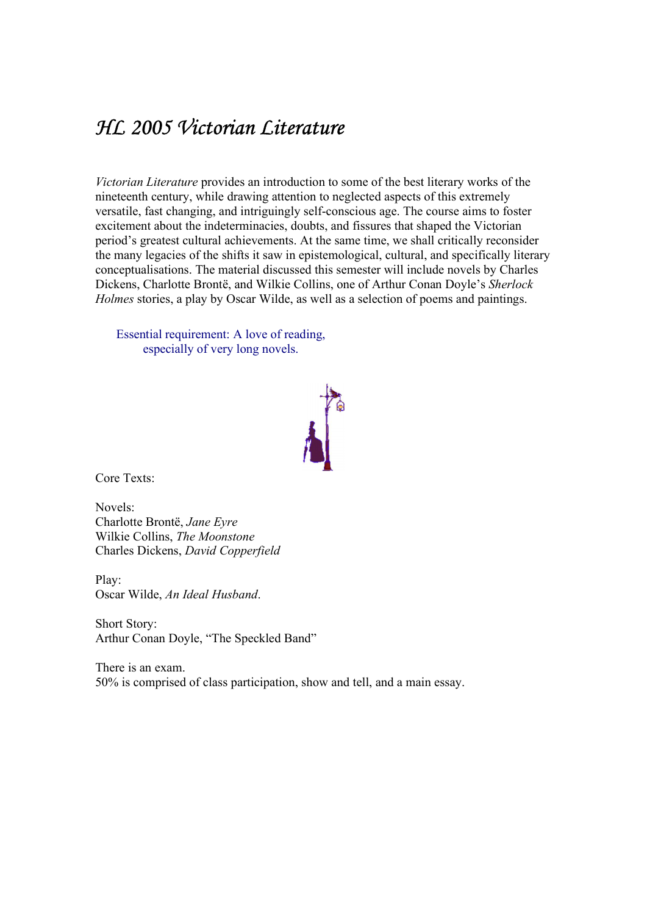## HL 2005 Victorian Literature

Victorian Literature provides an introduction to some of the best literary works of the nineteenth century, while drawing attention to neglected aspects of this extremely versatile, fast changing, and intriguingly self-conscious age. The course aims to foster excitement about the indeterminacies, doubts, and fissures that shaped the Victorian period's greatest cultural achievements. At the same time, we shall critically reconsider the many legacies of the shifts it saw in epistemological, cultural, and specifically literary conceptualisations. The material discussed this semester will include novels by Charles Dickens, Charlotte Brontë, and Wilkie Collins, one of Arthur Conan Doyle's Sherlock Holmes stories, a play by Oscar Wilde, as well as a selection of poems and paintings.

Essential requirement: A love of reading, especially of very long novels.



Core Texts:

Novels: Charlotte Brontë, Jane Eyre Wilkie Collins, The Moonstone Charles Dickens, David Copperfield

Play: Oscar Wilde, An Ideal Husband.<br>Short Story:

Arthur Conan Doyle, "The Speckled Band"

There is an exam. 50% is comprised of class participation, show and tell, and a main essay.